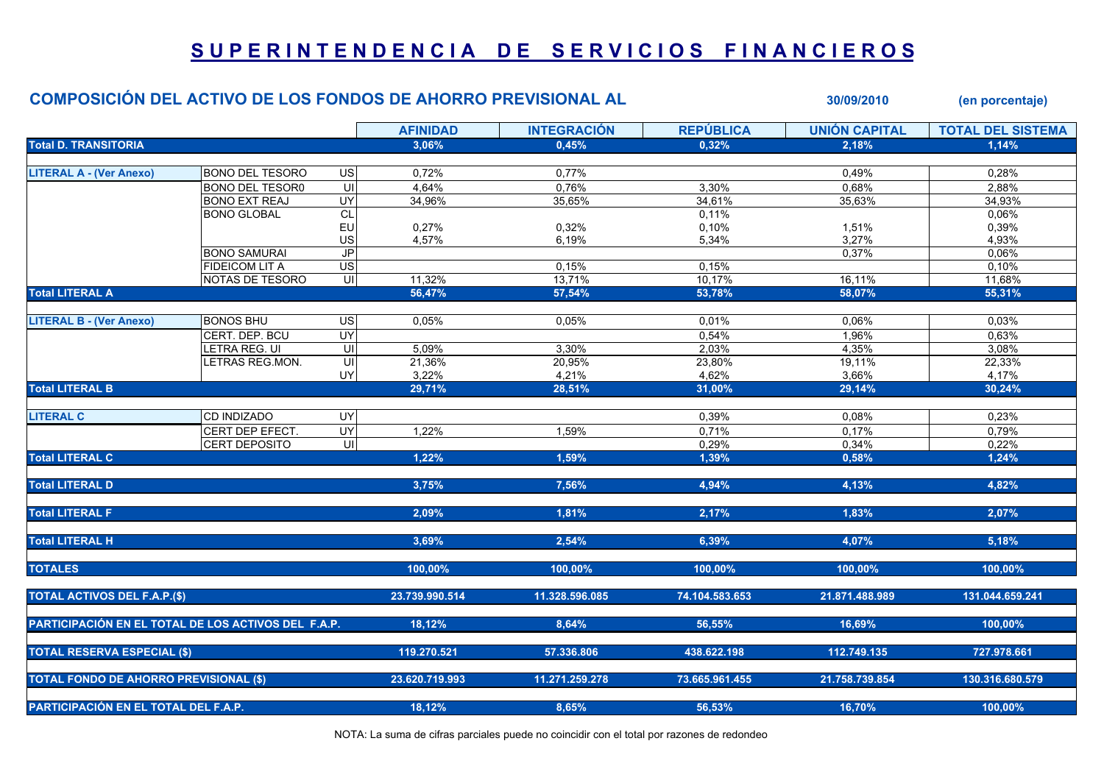## SUPERINTENDENCIA DE SERVICIOS FINANCIEROS

## COMPOSICIÓN DEL ACTIVO DE LOS FONDOS DE AHORRO PREVISIONAL AL 30/09/2010 (en porcentaje)

|                                                     |                        |                 | <b>AFINIDAD</b> | <b>INTEGRACION</b> | <b>REPUBLICA</b> | <b>UNION CAPITAL</b> | <b>TOTAL DEL SISTEMA</b> |
|-----------------------------------------------------|------------------------|-----------------|-----------------|--------------------|------------------|----------------------|--------------------------|
| <b>Total D. TRANSITORIA</b>                         |                        |                 | 3,06%           | 0.45%              | 0,32%            | 2,18%                | 1.14%                    |
|                                                     |                        |                 |                 |                    |                  |                      |                          |
| <b>LITERAL A - (Ver Anexo)</b>                      | <b>BONO DEL TESORO</b> | <b>US</b>       | 0,72%           | 0,77%              |                  | 0,49%                | 0,28%                    |
|                                                     | <b>BONO DEL TESOR0</b> | UI              | 4.64%           | 0.76%              | 3,30%            | 0,68%                | 2.88%                    |
|                                                     | <b>BONO EXT REAJ</b>   | UY              | 34,96%          | 35,65%             | 34,61%           | 35,63%               | 34,93%                   |
|                                                     | <b>BONO GLOBAL</b>     | <b>CL</b>       |                 |                    | 0,11%            |                      | 0,06%                    |
|                                                     |                        | EU              | 0,27%           | 0,32%              | 0,10%            | 1,51%                | 0,39%                    |
|                                                     |                        | US              | 4,57%           | 6,19%              | 5,34%            | 3,27%                | 4,93%                    |
|                                                     | <b>BONO SAMURAI</b>    | $\mathsf{JP}$   |                 |                    |                  | 0,37%                | 0,06%                    |
|                                                     | <b>FIDEICOM LIT A</b>  | US              |                 | 0,15%              | 0,15%            |                      | 0,10%                    |
|                                                     | NOTAS DE TESORO        | UI              | 11,32%          | 13,71%             | 10,17%           | 16,11%               | 11,68%                   |
| <b>Total LITERAL A</b>                              |                        |                 | 56,47%          | 57,54%             | 53,78%           | 58,07%               | 55,31%                   |
|                                                     |                        |                 |                 |                    |                  |                      |                          |
| <b>LITERAL B - (Ver Anexo)</b>                      | <b>BONOS BHU</b>       | $\overline{US}$ | 0,05%           | 0,05%              | 0,01%            | 0,06%                | 0,03%                    |
|                                                     | CERT. DEP. BCU         | UY              |                 |                    | 0,54%            | 1,96%                | 0.63%                    |
|                                                     | <b>ETRA REG. UI</b>    | UI              | 5,09%           | 3.30%              | 2,03%            | 4,35%                | 3.08%                    |
|                                                     | LETRAS REG.MON.        | UI              | 21,36%          | 20,95%             | 23,80%           | 19,11%               | 22,33%                   |
|                                                     |                        | UY              | 3,22%           | 4,21%              | 4,62%            | 3,66%                | 4,17%                    |
| <b>Total LITERAL B</b>                              |                        |                 | 29,71%          | 28,51%             | 31,00%           | 29,14%               | 30,24%                   |
|                                                     |                        |                 |                 |                    |                  |                      |                          |
| <b>LITERAL C</b>                                    | CD INDIZADO            | <b>UY</b>       |                 |                    | 0,39%            | 0,08%                | 0,23%                    |
|                                                     | CERT DEP EFECT.        | UY              | 1,22%           | 1,59%              | 0,71%            | 0,17%                | 0,79%                    |
|                                                     | CERT DEPOSITO          | UI              |                 |                    | 0,29%            | 0,34%                | 0,22%                    |
| <b>Total LITERAL C</b>                              |                        |                 | 1.22%           | 1,59%              | 1,39%            | 0,58%                | 1,24%                    |
|                                                     |                        |                 |                 |                    |                  |                      |                          |
| <b>Total LITERAL D</b>                              |                        |                 | 3,75%           | 7,56%              | 4,94%            | 4,13%                | 4,82%                    |
|                                                     |                        |                 |                 |                    |                  |                      |                          |
| <b>Total LITERAL F</b>                              |                        |                 | 2,09%           | 1,81%              | 2,17%            | 1,83%                | 2,07%                    |
|                                                     |                        |                 |                 |                    |                  |                      |                          |
| <b>Total LITERAL H</b>                              |                        |                 | 3,69%           | 2.54%              | 6,39%            | 4,07%                | 5,18%                    |
| <b>TOTALES</b>                                      |                        |                 | 100,00%         | 100,00%            | 100,00%          | 100,00%              | 100,00%                  |
|                                                     |                        |                 |                 |                    |                  |                      |                          |
| <b>TOTAL ACTIVOS DEL F.A.P.(\$)</b>                 |                        |                 | 23.739.990.514  | 11.328.596.085     | 74.104.583.653   | 21.871.488.989       | 131.044.659.241          |
|                                                     |                        |                 |                 |                    |                  |                      |                          |
| PARTICIPACIÓN EN EL TOTAL DE LOS ACTIVOS DEL F.A.P. |                        |                 | 18,12%          | 8,64%              | 56,55%           | 16,69%               | 100,00%                  |
|                                                     |                        |                 |                 |                    |                  |                      |                          |
| <b>TOTAL RESERVA ESPECIAL (\$)</b>                  |                        |                 | 119.270.521     | 57.336.806         | 438.622.198      | 112.749.135          | 727.978.661              |
|                                                     |                        |                 |                 |                    |                  |                      |                          |
| <b>TOTAL FONDO DE AHORRO PREVISIONAL (\$)</b>       |                        |                 | 23.620.719.993  | 11.271.259.278     | 73.665.961.455   | 21.758.739.854       | 130.316.680.579          |
|                                                     |                        |                 |                 |                    |                  |                      |                          |
| PARTICIPACIÓN EN EL TOTAL DEL F.A.P.                |                        |                 | 18,12%          | 8,65%              | 56,53%           | 16,70%               | 100.00%                  |
|                                                     |                        |                 |                 |                    |                  |                      |                          |

NOTA: La suma de cifras parciales puede no coincidir con el total por razones de redondeo